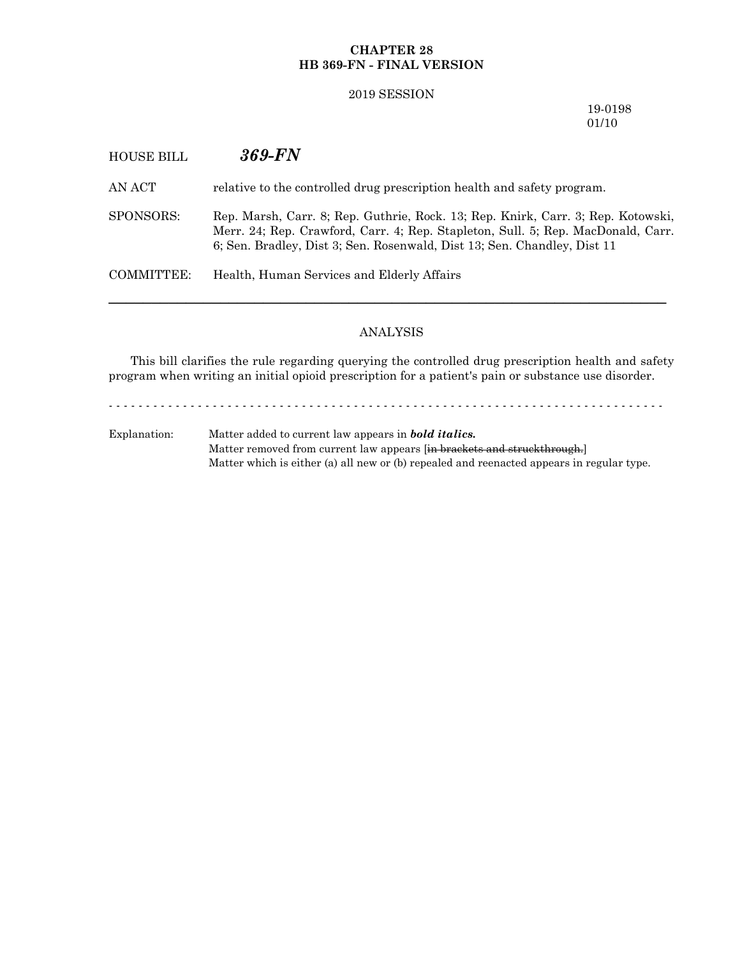## **CHAPTER 28 HB 369-FN - FINAL VERSION**

#### 2019 SESSION

19-0198 01/10

# HOUSE BILL *369-FN*

AN ACT relative to the controlled drug prescription health and safety program.

SPONSORS: Rep. Marsh, Carr. 8; Rep. Guthrie, Rock. 13; Rep. Knirk, Carr. 3; Rep. Kotowski, Merr. 24; Rep. Crawford, Carr. 4; Rep. Stapleton, Sull. 5; Rep. MacDonald, Carr. 6; Sen. Bradley, Dist 3; Sen. Rosenwald, Dist 13; Sen. Chandley, Dist 11

COMMITTEE: Health, Human Services and Elderly Affairs

# ANALYSIS

─────────────────────────────────────────────────────────────────

This bill clarifies the rule regarding querying the controlled drug prescription health and safety program when writing an initial opioid prescription for a patient's pain or substance use disorder.

- - - - - - - - - - - - - - - - - - - - - - - - - - - - - - - - - - - - - - - - - - - - - - - - - - - - - - - - - - - - - - - - - - - - - - - - - - -

Explanation: Matter added to current law appears in *bold italics.* Matter removed from current law appears [in brackets and struckthrough.] Matter which is either (a) all new or (b) repealed and reenacted appears in regular type.